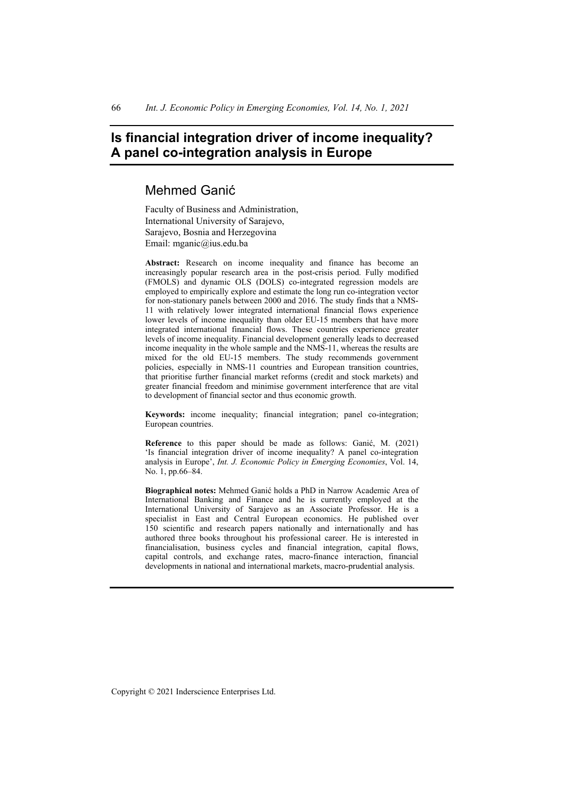# **Is financial integration driver of income inequality? A panel co-integration analysis in Europe**

# Mehmed Ganić

Faculty of Business and Administration, International University of Sarajevo, Sarajevo, Bosnia and Herzegovina Email: mganic@ius.edu.ba

**Abstract:** Research on income inequality and finance has become an increasingly popular research area in the post-crisis period. Fully modified (FMOLS) and dynamic OLS (DOLS) co-integrated regression models are employed to empirically explore and estimate the long run co-integration vector for non-stationary panels between 2000 and 2016. The study finds that a NMS-11 with relatively lower integrated international financial flows experience lower levels of income inequality than older EU-15 members that have more integrated international financial flows. These countries experience greater levels of income inequality. Financial development generally leads to decreased income inequality in the whole sample and the NMS-11, whereas the results are mixed for the old EU-15 members. The study recommends government policies, especially in NMS-11 countries and European transition countries, that prioritise further financial market reforms (credit and stock markets) and greater financial freedom and minimise government interference that are vital to development of financial sector and thus economic growth.

**Keywords:** income inequality; financial integration; panel co-integration; European countries.

**Reference** to this paper should be made as follows: Ganić, M. (2021) 'Is financial integration driver of income inequality? A panel co-integration analysis in Europe', *Int. J. Economic Policy in Emerging Economies*, Vol. 14, No. 1, pp.66–84.

**Biographical notes:** Mehmed Ganić holds a PhD in Narrow Academic Area of International Banking and Finance and he is currently employed at the International University of Sarajevo as an Associate Professor. He is a specialist in East and Central European economics. He published over 150 scientific and research papers nationally and internationally and has authored three books throughout his professional career. He is interested in financialisation, business cycles and financial integration, capital flows, capital controls, and exchange rates, macro-finance interaction, financial developments in national and international markets, macro-prudential analysis.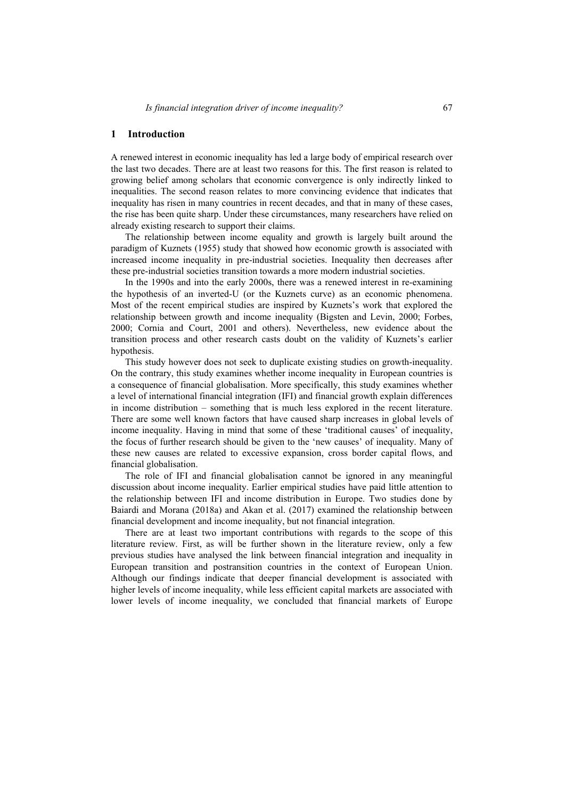### **1 Introduction**

A renewed interest in economic inequality has led a large body of empirical research over the last two decades. There are at least two reasons for this. The first reason is related to growing belief among scholars that economic convergence is only indirectly linked to inequalities. The second reason relates to more convincing evidence that indicates that inequality has risen in many countries in recent decades, and that in many of these cases, the rise has been quite sharp. Under these circumstances, many researchers have relied on already existing research to support their claims.

The relationship between income equality and growth is largely built around the paradigm of Kuznets (1955) study that showed how economic growth is associated with increased income inequality in pre-industrial societies. Inequality then decreases after these pre-industrial societies transition towards a more modern industrial societies.

In the 1990s and into the early 2000s, there was a renewed interest in re-examining the hypothesis of an inverted-U (or the Kuznets curve) as an economic phenomena. Most of the recent empirical studies are inspired by Kuznets's work that explored the relationship between growth and income inequality (Bigsten and Levin, 2000; Forbes, 2000; Cornia and Court, 2001 and others). Nevertheless, new evidence about the transition process and other research casts doubt on the validity of Kuznets's earlier hypothesis.

This study however does not seek to duplicate existing studies on growth-inequality. On the contrary, this study examines whether income inequality in European countries is a consequence of financial globalisation. More specifically, this study examines whether a level of international financial integration (IFI) and financial growth explain differences in income distribution – something that is much less explored in the recent literature. There are some well known factors that have caused sharp increases in global levels of income inequality. Having in mind that some of these 'traditional causes' of inequality, the focus of further research should be given to the 'new causes' of inequality. Many of these new causes are related to excessive expansion, cross border capital flows, and financial globalisation.

The role of IFI and financial globalisation cannot be ignored in any meaningful discussion about income inequality. Earlier empirical studies have paid little attention to the relationship between IFI and income distribution in Europe. Two studies done by Baiardi and Morana (2018a) and Akan et al. (2017) examined the relationship between financial development and income inequality, but not financial integration.

There are at least two important contributions with regards to the scope of this literature review. First, as will be further shown in the literature review, only a few previous studies have analysed the link between financial integration and inequality in European transition and postransition countries in the context of European Union. Although our findings indicate that deeper financial development is associated with higher levels of income inequality, while less efficient capital markets are associated with lower levels of income inequality, we concluded that financial markets of Europe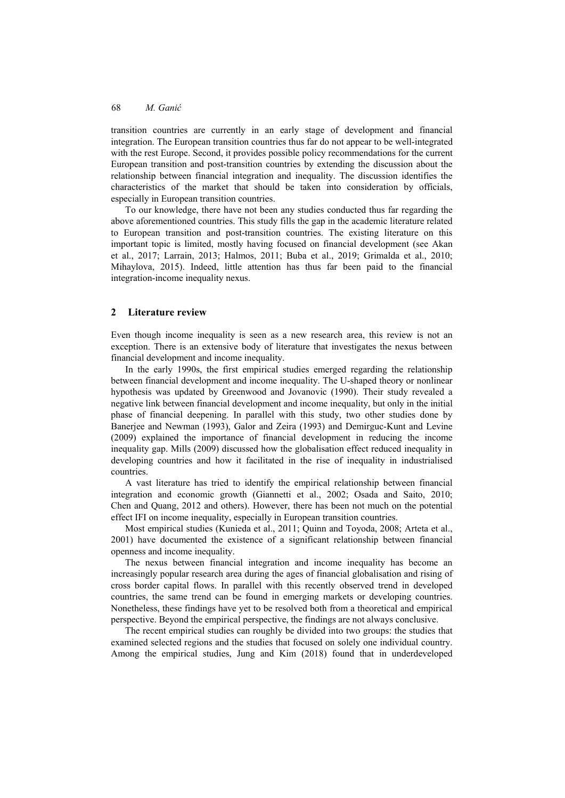transition countries are currently in an early stage of development and financial integration. The European transition countries thus far do not appear to be well-integrated with the rest Europe. Second, it provides possible policy recommendations for the current European transition and post-transition countries by extending the discussion about the relationship between financial integration and inequality. The discussion identifies the characteristics of the market that should be taken into consideration by officials, especially in European transition countries.

To our knowledge, there have not been any studies conducted thus far regarding the above aforementioned countries. This study fills the gap in the academic literature related to European transition and post-transition countries. The existing literature on this important topic is limited, mostly having focused on financial development (see Akan et al., 2017; Larrain, 2013; Halmos, 2011; Buba et al., 2019; Grimalda et al., 2010; Mihaylova, 2015). Indeed, little attention has thus far been paid to the financial integration-income inequality nexus.

#### **2 Literature review**

Even though income inequality is seen as a new research area, this review is not an exception. There is an extensive body of literature that investigates the nexus between financial development and income inequality.

In the early 1990s, the first empirical studies emerged regarding the relationship between financial development and income inequality. The U-shaped theory or nonlinear hypothesis was updated by Greenwood and Jovanovic (1990). Their study revealed a negative link between financial development and income inequality, but only in the initial phase of financial deepening. In parallel with this study, two other studies done by Banerjee and Newman (1993), Galor and Zeira (1993) and Demirguc-Kunt and Levine (2009) explained the importance of financial development in reducing the income inequality gap. Mills (2009) discussed how the globalisation effect reduced inequality in developing countries and how it facilitated in the rise of inequality in industrialised countries.

A vast literature has tried to identify the empirical relationship between financial integration and economic growth (Giannetti et al., 2002; Osada and Saito, 2010; Chen and Quang, 2012 and others). However, there has been not much on the potential effect IFI on income inequality, especially in European transition countries.

Most empirical studies (Kunieda et al., 2011; Quinn and Toyoda, 2008; Arteta et al., 2001) have documented the existence of a significant relationship between financial openness and income inequality.

The nexus between financial integration and income inequality has become an increasingly popular research area during the ages of financial globalisation and rising of cross border capital flows. In parallel with this recently observed trend in developed countries, the same trend can be found in emerging markets or developing countries. Nonetheless, these findings have yet to be resolved both from a theoretical and empirical perspective. Beyond the empirical perspective, the findings are not always conclusive.

The recent empirical studies can roughly be divided into two groups: the studies that examined selected regions and the studies that focused on solely one individual country. Among the empirical studies, Jung and Kim (2018) found that in underdeveloped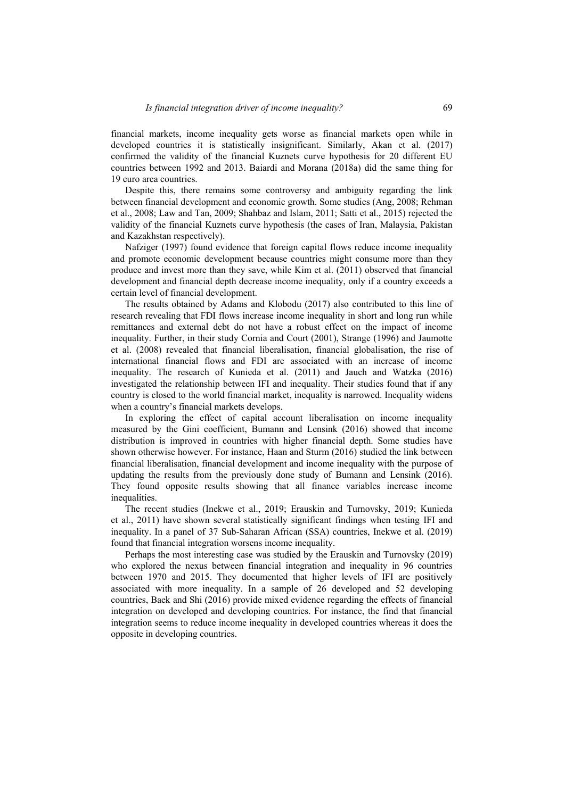financial markets, income inequality gets worse as financial markets open while in developed countries it is statistically insignificant. Similarly, Akan et al. (2017) confirmed the validity of the financial Kuznets curve hypothesis for 20 different EU countries between 1992 and 2013. Baiardi and Morana (2018a) did the same thing for 19 euro area countries.

Despite this, there remains some controversy and ambiguity regarding the link between financial development and economic growth. Some studies (Ang, 2008; Rehman et al., 2008; Law and Tan, 2009; Shahbaz and Islam, 2011; Satti et al., 2015) rejected the validity of the financial Kuznets curve hypothesis (the cases of Iran, Malaysia, Pakistan and Kazakhstan respectively).

Nafziger (1997) found evidence that foreign capital flows reduce income inequality and promote economic development because countries might consume more than they produce and invest more than they save, while Kim et al. (2011) observed that financial development and financial depth decrease income inequality, only if a country exceeds a certain level of financial development.

The results obtained by Adams and Klobodu (2017) also contributed to this line of research revealing that FDI flows increase income inequality in short and long run while remittances and external debt do not have a robust effect on the impact of income inequality. Further, in their study Cornia and Court (2001), Strange (1996) and Jaumotte et al. (2008) revealed that financial liberalisation, financial globalisation, the rise of international financial flows and FDI are associated with an increase of income inequality. The research of Kunieda et al. (2011) and Jauch and Watzka (2016) investigated the relationship between IFI and inequality. Their studies found that if any country is closed to the world financial market, inequality is narrowed. Inequality widens when a country's financial markets develops.

In exploring the effect of capital account liberalisation on income inequality measured by the Gini coefficient, Bumann and Lensink (2016) showed that income distribution is improved in countries with higher financial depth. Some studies have shown otherwise however. For instance, Haan and Sturm (2016) studied the link between financial liberalisation, financial development and income inequality with the purpose of updating the results from the previously done study of Bumann and Lensink (2016). They found opposite results showing that all finance variables increase income inequalities.

The recent studies (Inekwe et al., 2019; Erauskin and Turnovsky, 2019; Kunieda et al., 2011) have shown several statistically significant findings when testing IFI and inequality. In a panel of 37 Sub-Saharan African (SSA) countries, Inekwe et al. (2019) found that financial integration worsens income inequality.

Perhaps the most interesting case was studied by the Erauskin and Turnovsky (2019) who explored the nexus between financial integration and inequality in 96 countries between 1970 and 2015. They documented that higher levels of IFI are positively associated with more inequality. In a sample of 26 developed and 52 developing countries, Baek and Shi (2016) provide mixed evidence regarding the effects of financial integration on developed and developing countries. For instance, the find that financial integration seems to reduce income inequality in developed countries whereas it does the opposite in developing countries.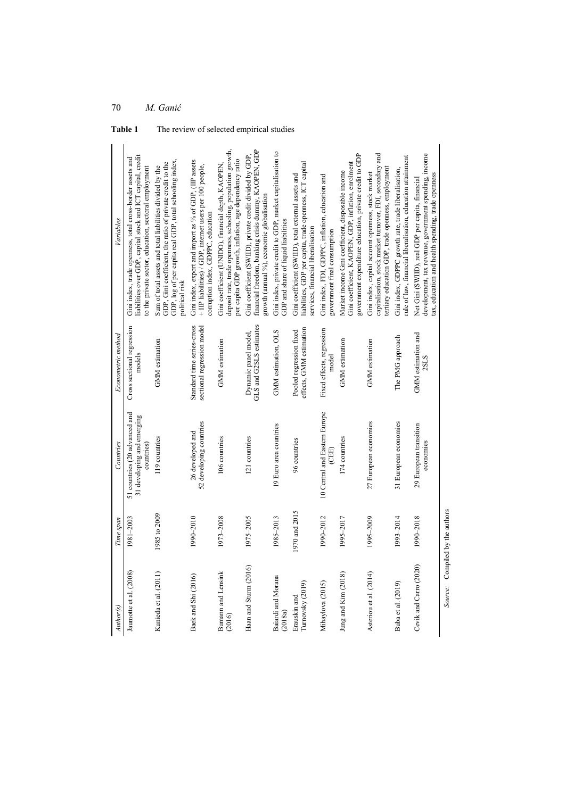| Author(s)                            | Time span     | Countries                                                                 | Econometric method                                       | Variables                                                                                                                                                                                          |
|--------------------------------------|---------------|---------------------------------------------------------------------------|----------------------------------------------------------|----------------------------------------------------------------------------------------------------------------------------------------------------------------------------------------------------|
| Jaumotte et al. (2008)               | 1981-2003     | 51 countries (20 advanced and<br>31 developing and emerging<br>countries) | Cross sectional regression<br>models                     | liabilities over GDP, capital stock and ICT capital, credit<br>Gini index, trade openness, total cross-border assets and<br>to the private sector, education, sectoral employment                  |
| Kunieda et al. (2011)                | 1985 to 2009  | 119 countries                                                             | GMM estimation                                           | GDP, log of per capita real GDP, total schooling index,<br>GDP, Gini coefficient, the ratio of private credit to the<br>Sum of total assets and total liabilities divided by the<br>political risk |
| Baek and Shi (2016)                  | 1990-2010     | 52 developing countries<br>26 developed and                               | Standard time series-cross<br>sectional regression model | Gini index, export and import as % of GDP, (IIP assets<br>+ IIP liabilities) / GDP, internet users per 100 people,<br>corruption index, GDPPC, education                                           |
| Bumann and Lensink<br>(2016)         | 1973-2008     | 106 countries                                                             | <b>GMM</b> estimation                                    | deposit rate, trade openness, schooling, population growth,<br>per capita GDP growth, inflation, age dependency ratio<br>Gini coefficient (UNIDO), financial depth, KAOPEN,                        |
| Haan and Sturm (2016)                | 1975-2005     | 121 countries                                                             | GLS and G2SLS estimates<br>Dynamic panel model,          | financial freedom, banking crisis dummy, KAOPEN, GDP<br>Gini coefficient (SWIID), private credit divided by GDP,<br>growth (annual %), economic globalisation                                      |
| <b>Baiardi</b> and Morana<br>(2018a) | 1985-2013     | 19 Euro area countries                                                    | GMM estimation, OLS                                      | Gini index, private credit to GDP, market capitalisation to<br>GDP and share of liquid liabilities                                                                                                 |
| Turnovsky (2019)<br>Erauskin and     | 1970 and 2015 | 96 countries                                                              | effects, GMM estimation<br>Pooled regression fixed       | liabilities, GDP per capita, trade openness, ICT capital<br>Gini coefficient (SWIID), total external assets and<br>services, financial liberalisation                                              |
| Mihaylova (2015)                     | 1990-2012     | 10 Central and Eastern Europe<br>(CEE)                                    | Fixed effects, regression<br>model                       | Gini index, FDI, GDPC, inflation, education and<br>government final consumption                                                                                                                    |
| Jung and Kim (2018)                  | 1995-2017     | 174 countries                                                             | <b>GMM</b> estimation                                    | government expenditure education, private credit to GDP<br>Gini coefficient, KAOPEN, GDP, inflation, enrolment<br>Market income Gini coefficient, disposable income                                |
| Asteriou et al. (2014)               | 1995-2009     | 27 European economies                                                     | <b>GMM</b> estimation                                    | capitalisation, stock market turnover, FDI, secondary and<br>ertiary education GDP, trade openness, employment<br>Gini index, capital account openness, stock market                               |
| Buba et al. (2019)                   | 1993-2014     | 31 European economies                                                     | The PMG approach                                         | rule of law, financial liberalisation, education attainment<br>Gini index, GDPPC growth rate, trade liberalisation,                                                                                |
| Cevik and Carro (2020)               | 1990-2018     | 29 European transition<br>economies                                       | GMM estimation and                                       | development, tax revenue, government spending, income<br>tax, education and health spending, trade openness<br>Net Gini (SWIID), real GDP per capita, financial                                    |
| Source: Compiled by the authors      |               |                                                                           |                                                          |                                                                                                                                                                                                    |

**Table 1** The review of selected empirical studies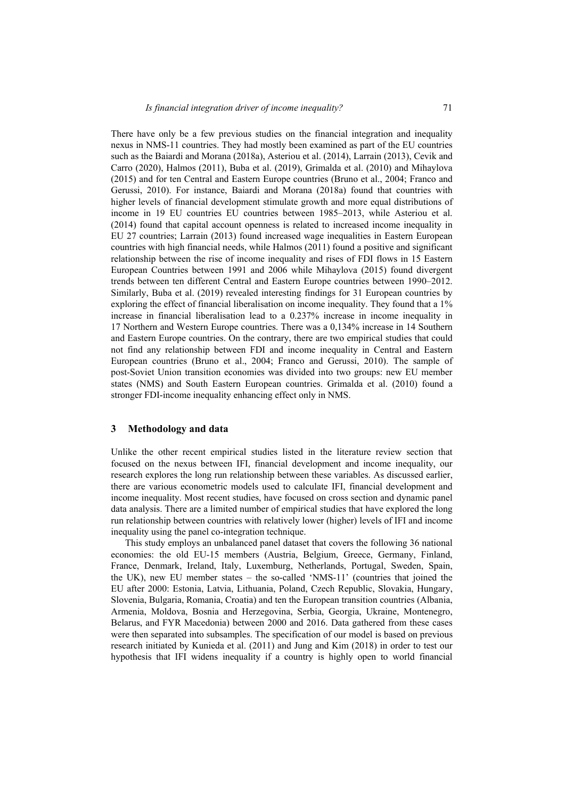There have only be a few previous studies on the financial integration and inequality nexus in NMS-11 countries. They had mostly been examined as part of the EU countries such as the Baiardi and Morana (2018a), Asteriou et al. (2014), Larrain (2013), Cevik and Carro (2020), Halmos (2011), Buba et al. (2019), Grimalda et al. (2010) and Mihaylova (2015) and for ten Central and Eastern Europe countries (Bruno et al., 2004; Franco and Gerussi, 2010). For instance, Baiardi and Morana (2018a) found that countries with higher levels of financial development stimulate growth and more equal distributions of income in 19 EU countries EU countries between 1985–2013, while Asteriou et al. (2014) found that capital account openness is related to increased income inequality in EU 27 countries; Larrain (2013) found increased wage inequalities in Eastern European countries with high financial needs, while Halmos (2011) found a positive and significant relationship between the rise of income inequality and rises of FDI flows in 15 Eastern European Countries between 1991 and 2006 while Mihaylova (2015) found divergent trends between ten different Central and Eastern Europe countries between 1990–2012. Similarly, Buba et al. (2019) revealed interesting findings for 31 European countries by exploring the effect of financial liberalisation on income inequality. They found that a 1% increase in financial liberalisation lead to a 0.237% increase in income inequality in 17 Northern and Western Europe countries. There was a 0,134% increase in 14 Southern and Eastern Europe countries. On the contrary, there are two empirical studies that could not find any relationship between FDI and income inequality in Central and Eastern European countries (Bruno et al., 2004; Franco and Gerussi, 2010). The sample of post‐Soviet Union transition economies was divided into two groups: new EU member states (NMS) and South Eastern European countries. Grimalda et al. (2010) found a stronger FDI-income inequality enhancing effect only in NMS.

#### **3 Methodology and data**

Unlike the other recent empirical studies listed in the literature review section that focused on the nexus between IFI, financial development and income inequality, our research explores the long run relationship between these variables. As discussed earlier, there are various econometric models used to calculate IFI, financial development and income inequality. Most recent studies, have focused on cross section and dynamic panel data analysis. There are a limited number of empirical studies that have explored the long run relationship between countries with relatively lower (higher) levels of IFI and income inequality using the panel co-integration technique.

This study employs an unbalanced panel dataset that covers the following 36 national economies: the old EU-15 members (Austria, Belgium, Greece, Germany, Finland, France, Denmark, Ireland, Italy, Luxemburg, Netherlands, Portugal, Sweden, Spain, the UK), new EU member states – the so-called 'NMS-11' (countries that joined the EU after 2000: Estonia, Latvia, Lithuania, Poland, Czech Republic, Slovakia, Hungary, Slovenia, Bulgaria, Romania, Croatia) and ten the European transition countries (Albania, Armenia, Moldova, Bosnia and Herzegovina, Serbia, Georgia, Ukraine, Montenegro, Belarus, and FYR Macedonia) between 2000 and 2016. Data gathered from these cases were then separated into subsamples. The specification of our model is based on previous research initiated by Kunieda et al. (2011) and Jung and Kim (2018) in order to test our hypothesis that IFI widens inequality if a country is highly open to world financial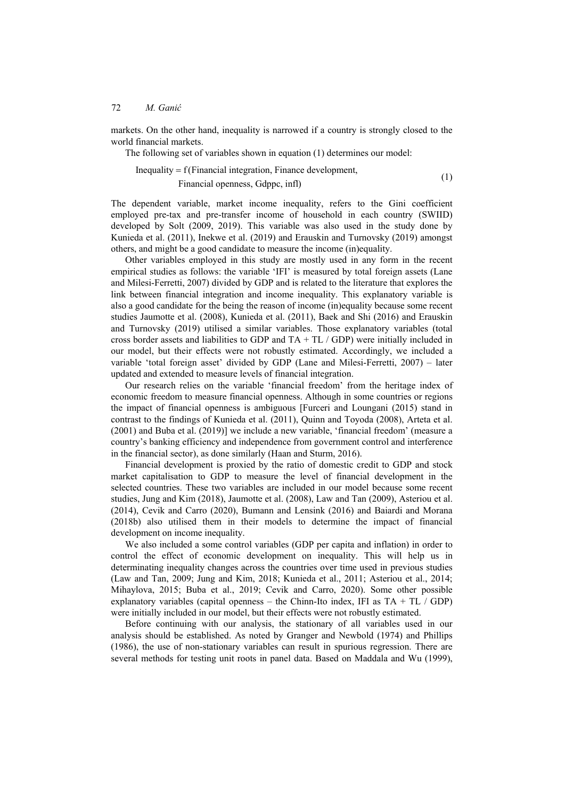markets. On the other hand, inequality is narrowed if a country is strongly closed to the world financial markets.

The following set of variables shown in equation (1) determines our model:

Inequality =  $f$ (Financial integration, Finance development, (1) Financial openness, Gdppc, infl)

The dependent variable, market income inequality, refers to the Gini coefficient employed pre-tax and pre-transfer income of household in each country (SWIID) developed by Solt (2009, 2019). This variable was also used in the study done by Kunieda et al. (2011), Inekwe et al. (2019) and Erauskin and Turnovsky (2019) amongst others, and might be a good candidate to measure the income (in)equality.

Other variables employed in this study are mostly used in any form in the recent empirical studies as follows: the variable 'IFI' is measured by total foreign assets (Lane and Milesi-Ferretti, 2007) divided by GDP and is related to the literature that explores the link between financial integration and income inequality. This explanatory variable is also a good candidate for the being the reason of income (in)equality because some recent studies Jaumotte et al. (2008), Kunieda et al. (2011), Baek and Shi (2016) and Erauskin and Turnovsky (2019) utilised a similar variables. Those explanatory variables (total cross border assets and liabilities to GDP and TA + TL / GDP) were initially included in our model, but their effects were not robustly estimated. Accordingly, we included a variable 'total foreign asset' divided by GDP (Lane and Milesi-Ferretti, 2007) – later updated and extended to measure levels of financial integration.

Our research relies on the variable 'financial freedom' from the heritage index of economic freedom to measure financial openness. Although in some countries or regions the impact of financial openness is ambiguous [Furceri and Loungani (2015) stand in contrast to the findings of Kunieda et al. (2011), Quinn and Toyoda (2008), Arteta et al. (2001) and Buba et al. (2019)] we include a new variable, 'financial freedom' (measure a country's banking efficiency and independence from government control and interference in the financial sector), as done similarly (Haan and Sturm, 2016).

Financial development is proxied by the ratio of domestic credit to GDP and stock market capitalisation to GDP to measure the level of financial development in the selected countries. These two variables are included in our model because some recent studies, Jung and Kim (2018), Jaumotte et al. (2008), Law and Tan (2009), Asteriou et al. (2014), Cevik and Carro (2020), Bumann and Lensink (2016) and Baiardi and Morana (2018b) also utilised them in their models to determine the impact of financial development on income inequality.

We also included a some control variables (GDP per capita and inflation) in order to control the effect of economic development on inequality. This will help us in determinating inequality changes across the countries over time used in previous studies (Law and Tan, 2009; Jung and Kim, 2018; Kunieda et al., 2011; Asteriou et al., 2014; Mihaylova, 2015; Buba et al., 2019; Cevik and Carro, 2020). Some other possible explanatory variables (capital openness – the Chinn-Ito index, IFI as  $TA + TL / GDP$ ) were initially included in our model, but their effects were not robustly estimated.

Before continuing with our analysis, the stationary of all variables used in our analysis should be established. As noted by Granger and Newbold (1974) and Phillips (1986), the use of non-stationary variables can result in spurious regression. There are several methods for testing unit roots in panel data. Based on Maddala and Wu (1999),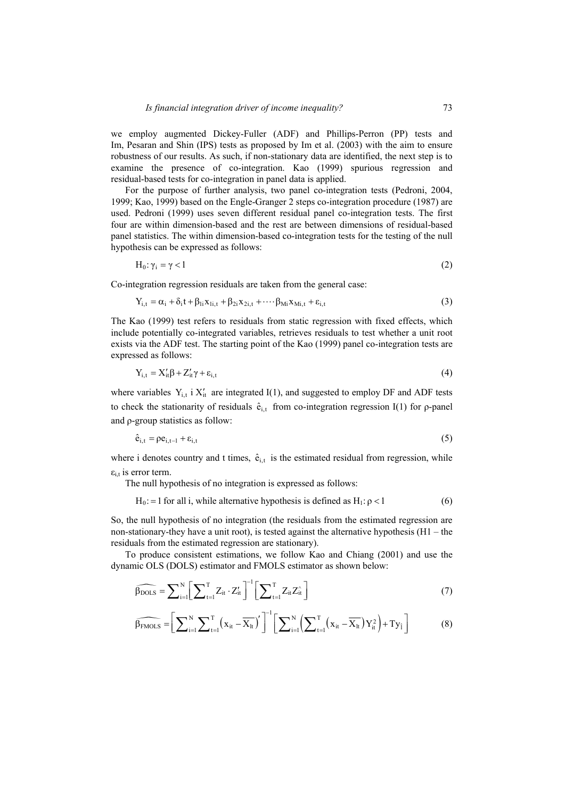we employ augmented Dickey-Fuller (ADF) and Phillips-Perron (PP) tests and Im, Pesaran and Shin (IPS) tests as proposed by Im et al. (2003) with the aim to ensure robustness of our results. As such, if non-stationary data are identified, the next step is to examine the presence of co-integration. Kao (1999) spurious regression and residual-based tests for co-integration in panel data is applied.

For the purpose of further analysis, two panel co-integration tests (Pedroni, 2004, 1999; Kao, 1999) based on the Engle-Granger 2 steps co-integration procedure (1987) are used. Pedroni (1999) uses seven different residual panel co-integration tests. The first four are within dimension-based and the rest are between dimensions of residual-based panel statistics. The within dimension-based co-integration tests for the testing of the null hypothesis can be expressed as follows:

$$
H_0: \gamma_i = \gamma < 1 \tag{2}
$$

Co-integration regression residuals are taken from the general case:

$$
Y_{i,t} = \alpha_i + \delta_i t + \beta_{1i} x_{1i,t} + \beta_{2i} x_{2i,t} + \cdots + \beta_{Mi} x_{Mi,t} + \varepsilon_{i,t}
$$
\n(3)

The Kao (1999) test refers to residuals from static regression with fixed effects, which include potentially co-integrated variables, retrieves residuals to test whether a unit root exists via the ADF test. The starting point of the Kao (1999) panel co-integration tests are expressed as follows:

$$
Y_{i,t} = X'_{it} \beta + Z'_{it} \gamma + \varepsilon_{i,t}
$$
\n
$$
\tag{4}
$$

where variables  $Y_{i,t}$  i  $X'_{it}$  are integrated I(1), and suggested to employ DF and ADF tests to check the stationarity of residuals  $\hat{\mathbf{e}}_{i,t}$  from co-integration regression I(1) for  $\rho$ -panel and ρ-group statistics as follow:

$$
\hat{\mathbf{e}}_{i,t} = \rho \mathbf{e}_{i,t-1} + \varepsilon_{i,t} \tag{5}
$$

where i denotes country and t times,  $\hat{e}_{i,t}$  is the estimated residual from regression, while  $\varepsilon$ <sub>i,t</sub> is error term.

The null hypothesis of no integration is expressed as follows:

$$
H_0 := 1 \text{ for all } i, \text{ while alternative hypothesis is defined as } H_1: \rho < 1 \tag{6}
$$

So, the null hypothesis of no integration (the residuals from the estimated regression are non-stationary-they have a unit root), is tested against the alternative hypothesis (H1 – the residuals from the estimated regression are stationary).

To produce consistent estimations, we follow Kao and Chiang (2001) and use the dynamic OLS (DOLS) estimator and FMOLS estimator as shown below:

$$
\widehat{\beta_{\text{DOLS}}} = \sum_{i=1}^{N} \bigg[ \sum_{t=1}^{T} Z_{it} \cdot Z_{it}' \bigg]^{-1} \bigg[ \sum_{t=1}^{T} Z_{it} Z_{it}^{\wedge} \bigg] \tag{7}
$$

$$
\widehat{\beta_{\text{FMOLS}}} = \left[ \sum_{i=1}^{N} \sum_{t=1}^{T} \left( x_{it} - \overline{X_{it}} \right)^{r} \right]^{-1} \left[ \sum_{i=1}^{N} \left( \sum_{t=1}^{T} \left( x_{it} - \overline{X_{it}} \right) Y_{it}^{2} \right) + T y_{i} \right]
$$
(8)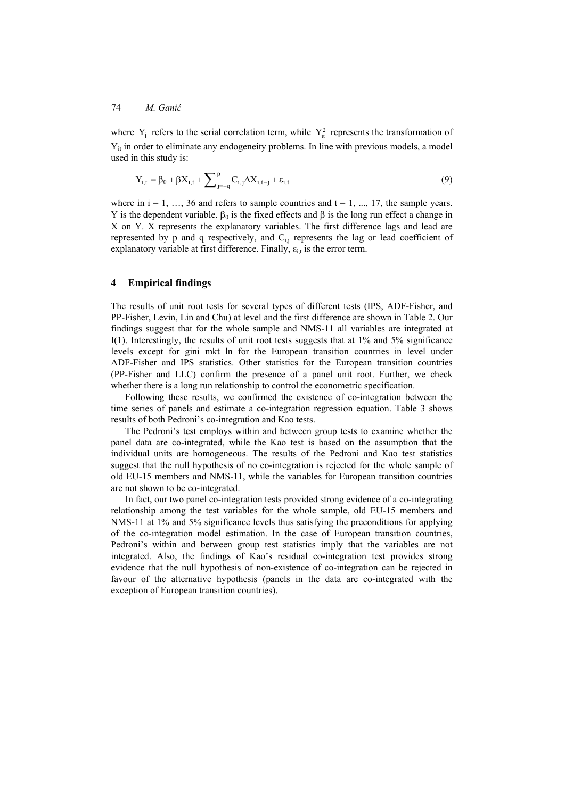where  $Y_i$  refers to the serial correlation term, while  $Y_{it}^2$  represents the transformation of  $Y_{it}$  in order to eliminate any endogeneity problems. In line with previous models, a model used in this study is:

$$
Y_{i,t} = \beta_0 + \beta X_{i,t} + \sum_{j=-q}^{p} C_{i,j} \Delta X_{i,t-j} + \varepsilon_{i,t}
$$
 (9)

where in  $i = 1, ..., 36$  and refers to sample countries and  $t = 1, ..., 17$ , the sample years. Y is the dependent variable.  $\beta_0$  is the fixed effects and  $\beta$  is the long run effect a change in X on Y. X represents the explanatory variables. The first difference lags and lead are represented by  $p$  and  $q$  respectively, and  $C_{i,j}$  represents the lag or lead coefficient of explanatory variable at first difference. Finally,  $\varepsilon_{i,t}$  is the error term.

### **4 Empirical findings**

The results of unit root tests for several types of different tests (IPS, ADF-Fisher, and PP-Fisher, Levin, Lin and Chu) at level and the first difference are shown in Table 2. Our findings suggest that for the whole sample and NMS-11 all variables are integrated at  $I(1)$ . Interestingly, the results of unit root tests suggests that at  $1\%$  and  $5\%$  significance levels except for gini mkt ln for the European transition countries in level under ADF-Fisher and IPS statistics. Other statistics for the European transition countries (PP-Fisher and LLC) confirm the presence of a panel unit root. Further, we check whether there is a long run relationship to control the econometric specification.

Following these results, we confirmed the existence of co-integration between the time series of panels and estimate a co-integration regression equation. Table 3 shows results of both Pedroni's co-integration and Kao tests.

The Pedroni's test employs within and between group tests to examine whether the panel data are co-integrated, while the Kao test is based on the assumption that the individual units are homogeneous. The results of the Pedroni and Kao test statistics suggest that the null hypothesis of no co-integration is rejected for the whole sample of old EU-15 members and NMS-11, while the variables for European transition countries are not shown to be co-integrated.

In fact, our two panel co-integration tests provided strong evidence of a co-integrating relationship among the test variables for the whole sample, old EU-15 members and NMS-11 at 1% and 5% significance levels thus satisfying the preconditions for applying of the co-integration model estimation. In the case of European transition countries, Pedroni's within and between group test statistics imply that the variables are not integrated. Also, the findings of Kao's residual co-integration test provides strong evidence that the null hypothesis of non-existence of co-integration can be rejected in favour of the alternative hypothesis (panels in the data are co-integrated with the exception of European transition countries).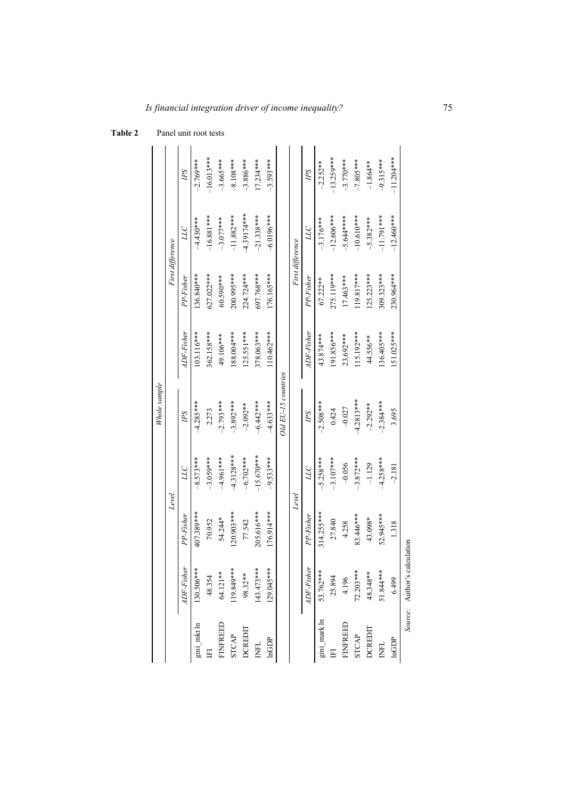|                 |              |              |              | Whole sample        |              |              |                  |              |
|-----------------|--------------|--------------|--------------|---------------------|--------------|--------------|------------------|--------------|
|                 |              | Level        |              |                     |              |              | First difference |              |
|                 | ADF-Fisher   | PP-Fisher    | LLC          | PS                  | ADF-Fisher   | PP-Fisher    | ЦC               | PS           |
| gini_mkt In     | 130.506***   | 407.389***   | $-8.573***$  | $-4.285***$         | 103.116***   | 136.840***   | $-4.430***$      | $-2.769***$  |
|                 | 48.354       | 70.952       | $-3.059***$  | 2.273               | 362.158***   | 627.022***   | $-16.881***$     | $-16.013***$ |
| <b>FINFREED</b> | 64.121**     | 54.244*      | $-4.961***$  | $-2.793***$         | 49.106***    | 60.590***    | $-3.077***$      | $-3.665***$  |
| <b>STCAP</b>    | 119.849***   | $120.903***$ | $-4.3128***$ | $-3.892***$         | 188.004***   | 200.995***   | $-11.882***$     | $-8.108***$  |
| DCREDIT         | 98.32**      | 77.542       | $-6.702***$  | $-2.092***$         | $125.551***$ | 224.724***   | $-4.39174***$    | $-3.886***$  |
| <b>INFL</b>     | $143.473***$ | 205.616***   | $-15.670***$ | $-6.442***$         | 378.063***   | 697.768***   | $-21.338***$     | $17.234***$  |
| ln GDP          | 129.045***   | 176.914***   | $-9.533***$  | $-4.63$ ***         | 10.462***    | 176.165****  | $-6.0196***$     | $-3.593***$  |
|                 |              |              |              | Old EU-15 countries |              |              |                  |              |
|                 |              | Level        |              |                     |              |              | First difference |              |
|                 | ADF-Fisher   | PP-Fisher    | LLC          | PS                  | ADF-Fisher   | PP-Fisher    | ЦC               | PS           |
| gini_mark In    | 53.762***    | 314.255***   | $-5.258***$  | $-2.508***$         | 43.874 ***   | $67.222**$   | $-3.176***$      | $-2.252**$   |
|                 | 25.894       | 27.840       | $-3.107***$  | 0.424               | 191.856***   | 275.119***   | $-12.606***$     | $-13.259***$ |
| <b>FINFREED</b> | 4.196        | 4.258        | $-0.056$     | $-0.027$            | 23.692 ***   | $17.463***$  | $-5.644***$      | $-3.770***$  |
| <b>STCAP</b>    | 72.203***    | 83.446***    | $-3.872***$  | $-4.2813***$        | 115.192***   | $19.817***$  | $-10.610***$     | $-7.805***$  |
| DCREDIT         | 48.348**     | 43.098*      | $-1.129$     | $-2.292**$          | 44.556**     | $125.223***$ | $-5.382***$      | $-1.864**$   |
| <b>INFL</b>     | 51.844 ***   | 52.945****   | $-4.258***$  | $-2.384***$         | 136.405***   | 309.323***   | $-11.791***$     | $-9.315***$  |
| ln GDP          | 6.499        | 1.318        | $-2.181$     | 3.695               | $151.025***$ | 230.964***   | $-12.460***$     | $-11.204***$ |

**Table 2** Panel unit root tests

Source: Author's calculation *Source:* Author's calculation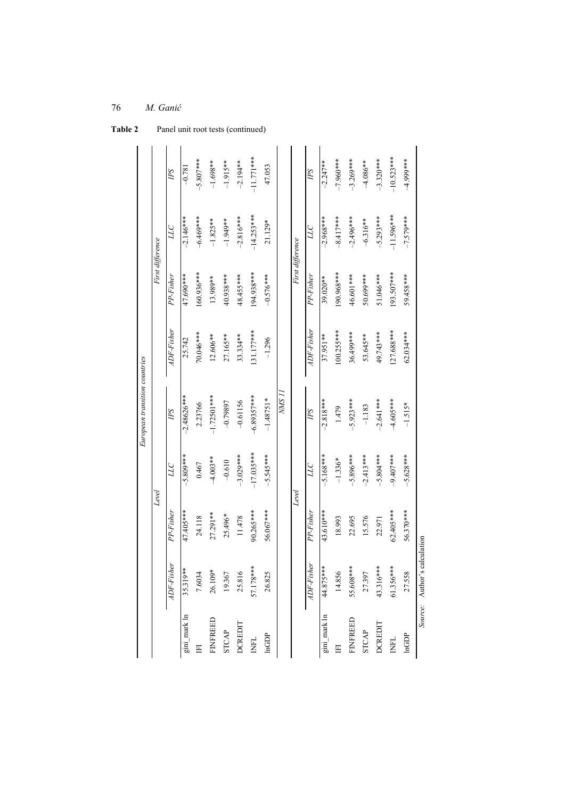|                 |                              |             |              | European transition countries |              |                  |              |              |
|-----------------|------------------------------|-------------|--------------|-------------------------------|--------------|------------------|--------------|--------------|
|                 |                              |             | Level        |                               |              | First difference |              |              |
|                 | ADF-Fishe                    | PP-Fisher   | LLC          | PS                            | ADF-Fisher   | PP-Fisher        | ЦL           | PS           |
| gini_mark In    | 35.319**                     | 47.405***   | $-5.809***$  | $-2.48626***$                 | 25.742       | 47.690***        | $-2.146***$  | $-0.781$     |
| Ë               | 7.6034                       | 24.118      | 0.467        | 2.23766                       | 70.046***    | 160.936***       | $-6.469***$  | $-5.807***$  |
| <b>FINFREED</b> | 26.109*                      | 27.291**    | $-4.003**$   | $-1.72501***$                 | $12.606**$   | 13.989**         | $-1.825***$  | $-1.698**$   |
| <b>STCAP</b>    | 19.367                       | 25.496*     | $-0.610$     | $-0.79897$                    | 27.165**     | 40.938***        | $-1.949**$   | $-1.915**$   |
| DCREDIT         | 25.816                       | 11.478      | $-3.029***$  | $-0.61156$                    | 33.334**     | 48.455***        | $-2.816***$  | $-2.194**$   |
| <b>DATE</b>     | 57.178***                    | 90.265***   | $-17.035***$ | $-6.89357***$                 | $131.177***$ | 194.938***       | $-14.253***$ | $-11.771***$ |
| InGDP           | 26.825                       | 56.067***   | $-5.545***$  | $-1.48751*$                   | $-1.296$     | $-0.576***$      | 21.129*      | 47.053       |
|                 |                              |             |              | <b>II SNN</b>                 |              |                  |              |              |
|                 |                              |             | Level        |                               |              | First difference |              |              |
|                 | ADF-Fisher                   | PP-Fisher   | LLC          | PS                            | ADF-Fisher   | PP-Fisher        | ЦI           | PS           |
| gini_mark In    | 44.875 ***                   | 43.610***   | $-5.168***$  | $-2.818***$                   | 37.951**     | 39.020**         | $-2.968***$  | $-2.247**$   |
| Ë               | 14.856                       | 18.993      | $-1.336*$    | 1.479                         | 100.255 ***  | 190.968***       | $-8.417***$  | $-7.960***$  |
| FINFREED        | 55.608***                    | 22.695      | $-5.896***$  | $-5.923***$                   | 36.499***    | 46.601***        | $-2.496***$  | $-3.269***$  |
| <b>STCAP</b>    | 27.397                       | 15.576      | $-2.413***$  | $-1.183$                      | 53.645**     | 50.699***        | $-6.316**$   | $-4.086**$   |
| <b>DCREDIT</b>  | 43.316***                    | 22.971      | $-5.804***$  | $-2.641***$                   | 49.743****   | 51.046***        | $-5.293***$  | $-3.320***$  |
| <b>INFL</b>     | $61.356***$                  | $62.405***$ | $-9.407***$  | 4.605***                      | 127.688***   | 193.507***       | $-11.596***$ | $-10.523***$ |
| lnGDP           | 27.558                       | 56.370***   | $-5.628***$  | $-1.515*$                     | 62.034***    | 59.458****       | $-7.579***$  | $-4.999***$  |
|                 | Source: Author's calculation |             |              |                               |              |                  |              |              |

*ć*

76 *M. Gani*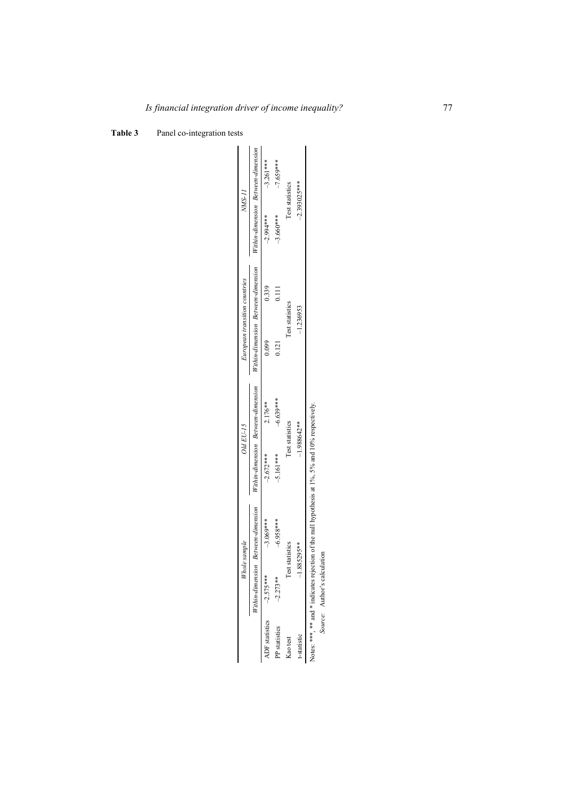**Table 3** Panel co-integration tests

|                             | Whole sample                       |                                                                                                        | $Old EU-15$                        | European transition countries      |       |                                    | NMS-11          |
|-----------------------------|------------------------------------|--------------------------------------------------------------------------------------------------------|------------------------------------|------------------------------------|-------|------------------------------------|-----------------|
|                             | Within-dimension Between-dimension |                                                                                                        | Within-dimension Between-dimension | Within-dimension Between-dimension |       | Within-dimension Between-dimension |                 |
| ADF statistics $-2.575***$  | $-3.069***$                        | $-2.672***$                                                                                            | $2.176**$                          | 0.099                              | 0.339 | $-2.994***$                        | $-3.261***$     |
| $-2.273**$<br>PP statistics | $-6.958***$                        | $-5.161***$                                                                                            | $-6.639***$                        | 0.121                              | 0.111 | $-3.660***$                        | $-7.659***$     |
| Kao test                    | statistics<br>Test                 |                                                                                                        | Test statistics                    | Test statistics                    |       |                                    | Test statistics |
| t-statistic                 | $-1.885295***$                     |                                                                                                        | $-1.988642**$                      | $-1.236953$                        |       |                                    | $-2.393025***$  |
|                             |                                    | Notes: ***, ** and * indicates rejection of the null hypothesis at $1\%$ , 5% and $10\%$ respectively. |                                    |                                    |       |                                    |                 |
|                             | Source: Author's calculation       |                                                                                                        |                                    |                                    |       |                                    |                 |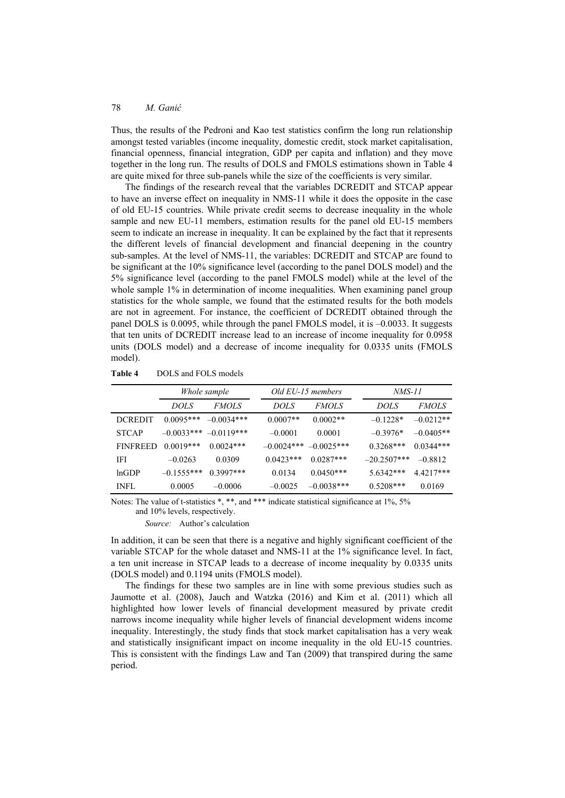Thus, the results of the Pedroni and Kao test statistics confirm the long run relationship amongst tested variables (income inequality, domestic credit, stock market capitalisation, financial openness, financial integration, GDP per capita and inflation) and they move together in the long run. The results of DOLS and FMOLS estimations shown in Table 4 are quite mixed for three sub-panels while the size of the coefficients is very similar.

The findings of the research reveal that the variables DCREDIT and STCAP appear to have an inverse effect on inequality in NMS-11 while it does the opposite in the case of old EU-15 countries. While private credit seems to decrease inequality in the whole sample and new EU-11 members, estimation results for the panel old EU-15 members seem to indicate an increase in inequality. It can be explained by the fact that it represents the different levels of financial development and financial deepening in the country sub-samples. At the level of NMS-11, the variables: DCREDIT and STCAP are found to be significant at the 10% significance level (according to the panel DOLS model) and the 5% significance level (according to the panel FMOLS model) while at the level of the whole sample 1% in determination of income inequalities. When examining panel group statistics for the whole sample, we found that the estimated results for the both models are not in agreement. For instance, the coefficient of DCREDIT obtained through the panel DOLS is 0.0095, while through the panel FMOLS model, it is –0.0033. It suggests that ten units of DCREDIT increase lead to an increase of income inequality for 0.0958 units (DOLS model) and a decrease of income inequality for 0.0335 units (FMOLS model).

|                 |              | Whole sample |              | Old EU-15 members   | <i>NMS-11</i> |              |
|-----------------|--------------|--------------|--------------|---------------------|---------------|--------------|
|                 | <i>DOLS</i>  | <i>FMOLS</i> | <i>DOLS</i>  | <i><b>FMOLS</b></i> | <i>DOLS</i>   | <i>FMOLS</i> |
| <b>DCREDIT</b>  | $0.0095***$  | $-0.0034***$ | $0.0007**$   | $0.0002**$          | $-0.1228*$    | $-0.0212**$  |
| <b>STCAP</b>    | $-0.0033***$ | $-0.0119***$ | $-0.0001$    | 0.0001              | $-0.3976*$    | $-0.0405**$  |
| <b>FINFREED</b> | $0.0019***$  | $0.0024***$  | $-0.0024***$ | $-0.0025***$        | $0.3268***$   | $0.0344***$  |
| IFI             | $-0.0263$    | 0.0309       | $0.0423***$  | $0.0287***$         | $-20.2507***$ | $-0.8812$    |
| lnGDP           | $-0.1555***$ | $0.3997***$  | 0.0134       | $0.0450***$         | $5.6342***$   | $4.4217***$  |
| <b>INFL</b>     | 0.0005       | $-0.0006$    | $-0.0025$    | $-0.0038***$        | $0.5208***$   | 0.0169       |

**Table 4** DOLS and FOLS models

Notes: The value of t-statistics \*, \*\*, and \*\*\* indicate statistical significance at 1%, 5% and 10% levels, respectively.

*Source:* Author's calculation

In addition, it can be seen that there is a negative and highly significant coefficient of the variable STCAP for the whole dataset and NMS-11 at the 1% significance level. In fact, a ten unit increase in STCAP leads to a decrease of income inequality by 0.0335 units (DOLS model) and 0.1194 units (FMOLS model).

The findings for these two samples are in line with some previous studies such as Jaumotte et al. (2008), Jauch and Watzka (2016) and Kim et al. (2011) which all highlighted how lower levels of financial development measured by private credit narrows income inequality while higher levels of financial development widens income inequality. Interestingly, the study finds that stock market capitalisation has a very weak and statistically insignificant impact on income inequality in the old EU-15 countries. This is consistent with the findings Law and Tan (2009) that transpired during the same period.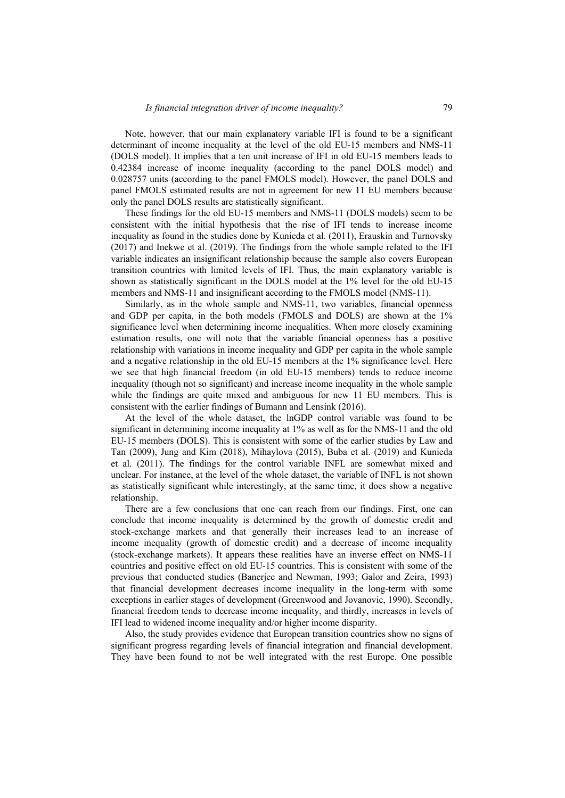Note, however, that our main explanatory variable IFI is found to be a significant determinant of income inequality at the level of the old EU-15 members and NMS-11 (DOLS model). It implies that a ten unit increase of IFI in old EU-15 members leads to 0.42384 increase of income inequality (according to the panel DOLS model) and 0.028757 units (according to the panel FMOLS model). However, the panel DOLS and panel FMOLS estimated results are not in agreement for new 11 EU members because only the panel DOLS results are statistically significant.

These findings for the old EU-15 members and NMS-11 (DOLS models) seem to be consistent with the initial hypothesis that the rise of IFI tends to increase income inequality as found in the studies done by Kunieda et al. (2011), Erauskin and Turnovsky (2017) and Inekwe et al. (2019). The findings from the whole sample related to the IFI variable indicates an insignificant relationship because the sample also covers European transition countries with limited levels of IFI. Thus, the main explanatory variable is shown as statistically significant in the DOLS model at the 1% level for the old EU-15 members and NMS-11 and insignificant according to the FMOLS model (NMS-11).

Similarly, as in the whole sample and NMS-11, two variables, financial openness and GDP per capita, in the both models (FMOLS and DOLS) are shown at the 1% significance level when determining income inequalities. When more closely examining estimation results, one will note that the variable financial openness has a positive relationship with variations in income inequality and GDP per capita in the whole sample and a negative relationship in the old EU-15 members at the 1% significance level. Here we see that high financial freedom (in old EU-15 members) tends to reduce income inequality (though not so significant) and increase income inequality in the whole sample while the findings are quite mixed and ambiguous for new 11 EU members. This is consistent with the earlier findings of Bumann and Lensink (2016).

At the level of the whole dataset, the lnGDP control variable was found to be significant in determining income inequality at 1% as well as for the NMS-11 and the old EU-15 members (DOLS). This is consistent with some of the earlier studies by Law and Tan (2009), Jung and Kim (2018), Mihaylova (2015), Buba et al. (2019) and Kunieda et al. (2011). The findings for the control variable INFL are somewhat mixed and unclear. For instance, at the level of the whole dataset, the variable of INFL is not shown as statistically significant while interestingly, at the same time, it does show a negative relationship.

There are a few conclusions that one can reach from our findings. First, one can conclude that income inequality is determined by the growth of domestic credit and stock-exchange markets and that generally their increases lead to an increase of income inequality (growth of domestic credit) and a decrease of income inequality (stock-exchange markets). It appears these realities have an inverse effect on NMS-11 countries and positive effect on old EU-15 countries. This is consistent with some of the previous that conducted studies (Banerjee and Newman, 1993; Galor and Zeira, 1993) that financial development decreases income inequality in the long-term with some exceptions in earlier stages of development (Greenwood and Jovanovic, 1990). Secondly, financial freedom tends to decrease income inequality, and thirdly, increases in levels of IFI lead to widened income inequality and/or higher income disparity.

Also, the study provides evidence that European transition countries show no signs of significant progress regarding levels of financial integration and financial development. They have been found to not be well integrated with the rest Europe. One possible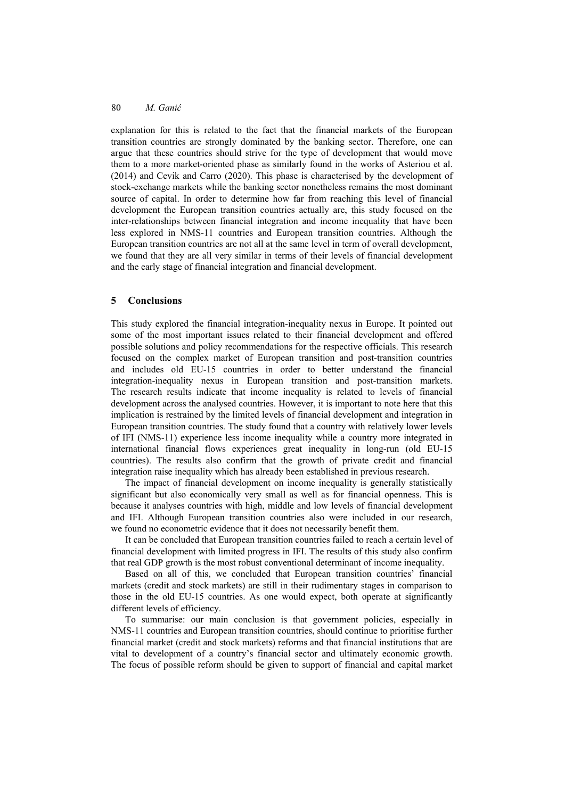explanation for this is related to the fact that the financial markets of the European transition countries are strongly dominated by the banking sector. Therefore, one can argue that these countries should strive for the type of development that would move them to a more market-oriented phase as similarly found in the works of Asteriou et al. (2014) and Cevik and Carro (2020). This phase is characterised by the development of stock-exchange markets while the banking sector nonetheless remains the most dominant source of capital. In order to determine how far from reaching this level of financial development the European transition countries actually are, this study focused on the inter-relationships between financial integration and income inequality that have been less explored in NMS-11 countries and European transition countries. Although the European transition countries are not all at the same level in term of overall development, we found that they are all very similar in terms of their levels of financial development and the early stage of financial integration and financial development.

## **5 Conclusions**

This study explored the financial integration-inequality nexus in Europe. It pointed out some of the most important issues related to their financial development and offered possible solutions and policy recommendations for the respective officials. This research focused on the complex market of European transition and post-transition countries and includes old EU-15 countries in order to better understand the financial integration-inequality nexus in European transition and post-transition markets. The research results indicate that income inequality is related to levels of financial development across the analysed countries. However, it is important to note here that this implication is restrained by the limited levels of financial development and integration in European transition countries. The study found that a country with relatively lower levels of IFI (NMS-11) experience less income inequality while a country more integrated in international financial flows experiences great inequality in long-run (old EU-15 countries). The results also confirm that the growth of private credit and financial integration raise inequality which has already been established in previous research.

The impact of financial development on income inequality is generally statistically significant but also economically very small as well as for financial openness. This is because it analyses countries with high, middle and low levels of financial development and IFI. Although European transition countries also were included in our research, we found no econometric evidence that it does not necessarily benefit them.

It can be concluded that European transition countries failed to reach a certain level of financial development with limited progress in IFI. The results of this study also confirm that real GDP growth is the most robust conventional determinant of income inequality.

Based on all of this, we concluded that European transition countries' financial markets (credit and stock markets) are still in their rudimentary stages in comparison to those in the old EU-15 countries. As one would expect, both operate at significantly different levels of efficiency.

To summarise: our main conclusion is that government policies, especially in NMS-11 countries and European transition countries, should continue to prioritise further financial market (credit and stock markets) reforms and that financial institutions that are vital to development of a country's financial sector and ultimately economic growth. The focus of possible reform should be given to support of financial and capital market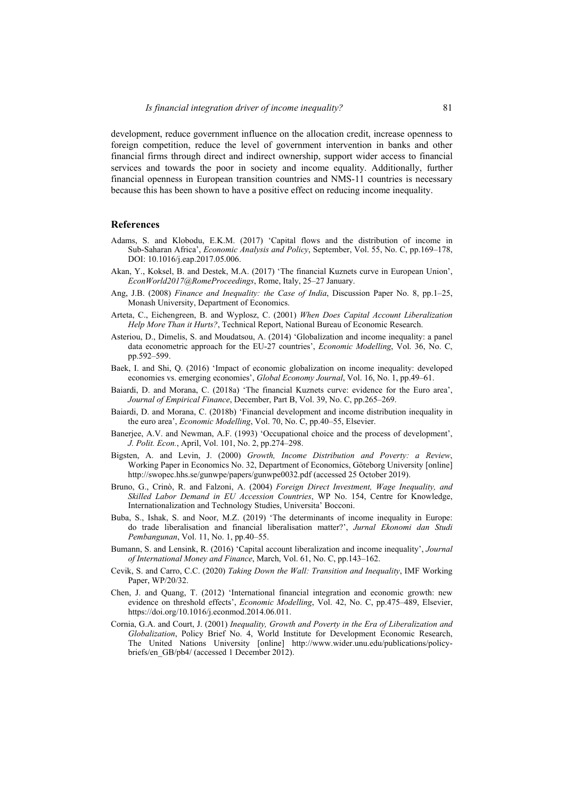development, reduce government influence on the allocation credit, increase openness to foreign competition, reduce the level of government intervention in banks and other financial firms through direct and indirect ownership, support wider access to financial services and towards the poor in society and income equality. Additionally, further financial openness in European transition countries and NMS-11 countries is necessary because this has been shown to have a positive effect on reducing income inequality.

### **References**

- Adams, S. and Klobodu, E.K.M. (2017) 'Capital flows and the distribution of income in Sub-Saharan Africa', *Economic Analysis and Policy*, September, Vol. 55, No. C, pp.169–178, DOI: 10.1016/j.eap.2017.05.006.
- Akan, Y., Koksel, B. and Destek, M.A. (2017) 'The financial Kuznets curve in European Union', *EconWorld2017@RomeProceedings*, Rome, Italy, 25–27 January.
- Ang, J.B. (2008) *Finance and Inequality: the Case of India*, Discussion Paper No. 8, pp.1–25, Monash University, Department of Economics.
- Arteta, C., Eichengreen, B. and Wyplosz, C. (2001) *When Does Capital Account Liberalization Help More Than it Hurts?*, Technical Report, National Bureau of Economic Research.
- Asteriou, D., Dimelis, S. and Moudatsou, A. (2014) 'Globalization and income inequality: a panel data econometric approach for the EU-27 countries', *Economic Modelling*, Vol. 36, No. C, pp.592–599.
- Baek, I. and Shi, Q. (2016) 'Impact of economic globalization on income inequality: developed economies vs. emerging economies', *Global Economy Journal*, Vol. 16, No. 1, pp.49–61.
- Baiardi, D. and Morana, C. (2018a) 'The financial Kuznets curve: evidence for the Euro area', *Journal of Empirical Finance*, December, Part B, Vol. 39, No. C, pp.265–269.
- Baiardi, D. and Morana, C. (2018b) 'Financial development and income distribution inequality in the euro area', *Economic Modelling*, Vol. 70, No. C, pp.40–55, Elsevier.
- Banerjee, A.V. and Newman, A.F. (1993) 'Occupational choice and the process of development', *J. Polit. Econ.*, April, Vol. 101, No. 2, pp.274–298.
- Bigsten, A. and Levin, J. (2000) *Growth, Income Distribution and Poverty: a Review*, Working Paper in Economics No. 32, Department of Economics, Göteborg University [online] http://swopec.hhs.se/gunwpe/papers/gunwpe0032.pdf (accessed 25 October 2019).
- Bruno, G., Crinò, R. and Falzoni, A. (2004) *Foreign Direct Investment, Wage Inequality, and Skilled Labor Demand in EU Accession Countries*, WP No. 154, Centre for Knowledge, Internationalization and Technology Studies, Universita' Bocconi.
- Buba, S., Ishak, S. and Noor, M.Z. (2019) 'The determinants of income inequality in Europe: do trade liberalisation and financial liberalisation matter?', *Jurnal Ekonomi dan Studi Pembangunan*, Vol. 11, No. 1, pp.40–55.
- Bumann, S. and Lensink, R. (2016) 'Capital account liberalization and income inequality', *Journal of International Money and Finance*, March, Vol. 61, No. C, pp.143–162.
- Cevik, S. and Carro, C.C. (2020) *Taking Down the Wall: Transition and Inequality*, IMF Working Paper, WP/20/32.
- Chen, J. and Quang, T. (2012) 'International financial integration and economic growth: new evidence on threshold effects', *Economic Modelling*, Vol. 42, No. C, pp.475–489, Elsevier, https://doi.org/10.1016/j.econmod.2014.06.011.
- Cornia, G.A. and Court, J. (2001) *Inequality, Growth and Poverty in the Era of Liberalization and Globalization*, Policy Brief No. 4, World Institute for Development Economic Research, The United Nations University [online] http://www.wider.unu.edu/publications/policybriefs/en\_GB/pb4/ (accessed 1 December 2012).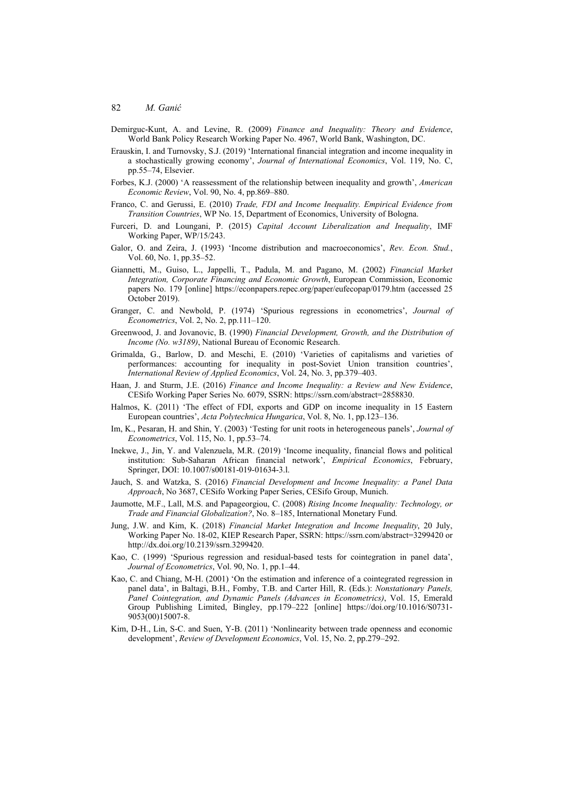- Demirguc-Kunt, A. and Levine, R. (2009) *Finance and Inequality: Theory and Evidence*, World Bank Policy Research Working Paper No. 4967, World Bank, Washington, DC.
- Erauskin, I. and Turnovsky, S.J. (2019) 'International financial integration and income inequality in a stochastically growing economy', *Journal of International Economics*, Vol. 119, No. C, pp.55–74, Elsevier.
- Forbes, K.J. (2000) 'A reassessment of the relationship between inequality and growth', *American Economic Review*, Vol. 90, No. 4, pp.869–880.
- Franco, C. and Gerussi, E. (2010) *Trade, FDI and Income Inequality. Empirical Evidence from Transition Countries*, WP No. 15, Department of Economics, University of Bologna.
- Furceri, D. and Loungani, P. (2015) *Capital Account Liberalization and Inequality*, IMF Working Paper, WP/15/243.
- Galor, O. and Zeira, J. (1993) 'Income distribution and macroeconomics', *Rev. Econ. Stud.*, Vol. 60, No. 1, pp.35–52.
- Giannetti, M., Guiso, L., Jappelli, T., Padula, M. and Pagano, M. (2002) *Financial Market Integration, Corporate Financing and Economic Growth*, European Commission, Economic papers No. 179 [online] https://econpapers.repec.org/paper/eufecopap/0179.htm (accessed 25 October 2019).
- Granger, C. and Newbold, P. (1974) 'Spurious regressions in econometrics', *Journal of Econometrics*, Vol. 2, No. 2, pp.111–120.
- Greenwood, J. and Jovanovic, B. (1990) *Financial Development, Growth, and the Distribution of Income (No. w3189)*, National Bureau of Economic Research.
- Grimalda, G., Barlow, D. and Meschi, E. (2010) 'Varieties of capitalisms and varieties of performances: accounting for inequality in post-Soviet Union transition countries', *International Review of Applied Economics*, Vol. 24, No. 3, pp.379–403.
- Haan, J. and Sturm, J.E. (2016) *Finance and Income Inequality: a Review and New Evidence*, CESifo Working Paper Series No. 6079, SSRN: https://ssrn.com/abstract=2858830.
- Halmos, K. (2011) 'The effect of FDI, exports and GDP on income inequality in 15 Eastern European countries', *Acta Polytechnica Hungarica*, Vol. 8, No. 1, pp.123–136.
- Im, K., Pesaran, H. and Shin, Y. (2003) 'Testing for unit roots in heterogeneous panels', *Journal of Econometrics*, Vol. 115, No. 1, pp.53–74.
- Inekwe, J., Jin, Y. and Valenzuela, M.R. (2019) 'Income inequality, financial flows and political institution: Sub-Saharan African financial network', *Empirical Economics*, February, Springer, DOI: 10.1007/s00181-019-01634-3.l.
- Jauch, S. and Watzka, S. (2016) *Financial Development and Income Inequality: a Panel Data Approach*, No 3687, CESifo Working Paper Series, CESifo Group, Munich.
- Jaumotte, M.F., Lall, M.S. and Papageorgiou, C. (2008) *Rising Income Inequality: Technology, or Trade and Financial Globalization?*, No. 8–185, International Monetary Fund.
- Jung, J.W. and Kim, K. (2018) *Financial Market Integration and Income Inequality*, 20 July, Working Paper No. 18-02, KIEP Research Paper, SSRN: https://ssrn.com/abstract=3299420 or http://dx.doi.org/10.2139/ssrn.3299420.
- Kao, C. (1999) 'Spurious regression and residual-based tests for cointegration in panel data', *Journal of Econometrics*, Vol. 90, No. 1, pp.1–44.
- Kao, C. and Chiang, M-H. (2001) 'On the estimation and inference of a cointegrated regression in panel data', in Baltagi, B.H., Fomby, T.B. and Carter Hill, R. (Eds.): *Nonstationary Panels, Panel Cointegration, and Dynamic Panels (Advances in Econometrics)*, Vol. 15, Emerald Group Publishing Limited, Bingley, pp.179–222 [online] https://doi.org/10.1016/S0731- 9053(00)15007-8.
- Kim, D-H., Lin, S-C. and Suen, Y-B. (2011) 'Nonlinearity between trade openness and economic development', *Review of Development Economics*, Vol. 15, No. 2, pp.279–292.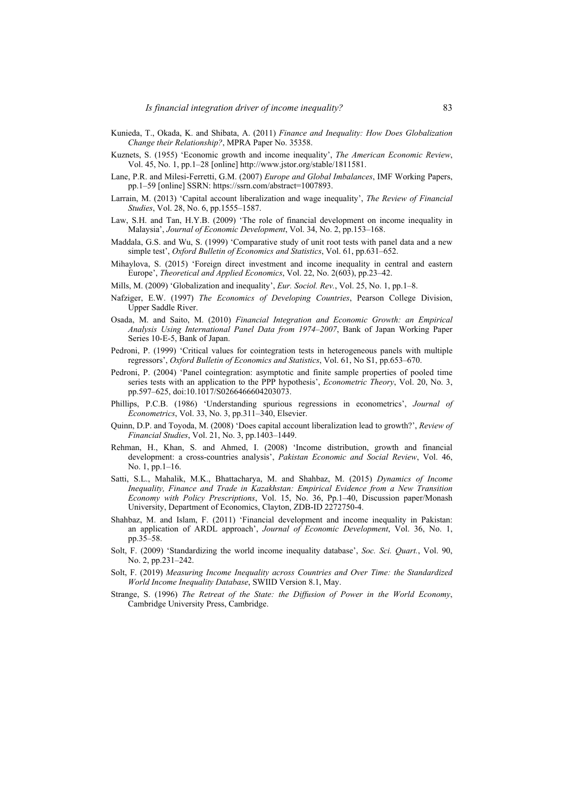- Kunieda, T., Okada, K. and Shibata, A. (2011) *Finance and Inequality: How Does Globalization Change their Relationship?*, MPRA Paper No. 35358.
- Kuznets, S. (1955) 'Economic growth and income inequality', *The American Economic Review*, Vol. 45, No. 1, pp.1–28 [online] http://www.jstor.org/stable/1811581.
- Lane, P.R. and Milesi-Ferretti, G.M. (2007) *Europe and Global Imbalances*, IMF Working Papers, pp.1–59 [online] SSRN: https://ssrn.com/abstract=1007893.
- Larrain, M. (2013) 'Capital account liberalization and wage inequality', *The Review of Financial Studies*, Vol. 28, No. 6, pp.1555–1587.
- Law, S.H. and Tan, H.Y.B. (2009) 'The role of financial development on income inequality in Malaysia', *Journal of Economic Development*, Vol. 34, No. 2, pp.153–168.
- Maddala, G.S. and Wu, S. (1999) 'Comparative study of unit root tests with panel data and a new simple test', *Oxford Bulletin of Economics and Statistics*, Vol. 61, pp.631–652.
- Mihaylova, S. (2015) 'Foreign direct investment and income inequality in central and eastern Europe', *Theoretical and Applied Economics*, Vol. 22, No. 2(603), pp.23–42.
- Mills, M. (2009) 'Globalization and inequality', *Eur. Sociol. Rev.*, Vol. 25, No. 1, pp.1–8.
- Nafziger, E.W. (1997) *The Economics of Developing Countries*, Pearson College Division, Upper Saddle River.
- Osada, M. and Saito, M. (2010) *Financial Integration and Economic Growth: an Empirical Analysis Using International Panel Data from 1974–2007*, Bank of Japan Working Paper Series 10-E-5, Bank of Japan.
- Pedroni, P. (1999) 'Critical values for cointegration tests in heterogeneous panels with multiple regressors', *Oxford Bulletin of Economics and Statistics*, Vol. 61, No S1, pp.653–670.
- Pedroni, P. (2004) 'Panel cointegration: asymptotic and finite sample properties of pooled time series tests with an application to the PPP hypothesis', *Econometric Theory*, Vol. 20, No. 3, pp.597–625, doi:10.1017/S0266466604203073.
- Phillips, P.C.B. (1986) 'Understanding spurious regressions in econometrics', *Journal of Econometrics*, Vol. 33, No. 3, pp.311–340, Elsevier.
- Quinn, D.P. and Toyoda, M. (2008) 'Does capital account liberalization lead to growth?', *Review of Financial Studies*, Vol. 21, No. 3, pp.1403–1449.
- Rehman, H., Khan, S. and Ahmed, I. (2008) 'Income distribution, growth and financial development: a cross-countries analysis', *Pakistan Economic and Social Review*, Vol. 46, No. 1, pp.1–16.
- Satti, S.L., Mahalik, M.K., Bhattacharya, M. and Shahbaz, M. (2015) *Dynamics of Income Inequality, Finance and Trade in Kazakhstan: Empirical Evidence from a New Transition Economy with Policy Prescriptions*, Vol. 15, No. 36, Pp.1–40, Discussion paper/Monash University, Department of Economics, Clayton, ZDB-ID 2272750-4.
- Shahbaz, M. and Islam, F. (2011) 'Financial development and income inequality in Pakistan: an application of ARDL approach', *Journal of Economic Development*, Vol. 36, No. 1, pp.35–58.
- Solt, F. (2009) 'Standardizing the world income inequality database', *Soc. Sci. Quart.*, Vol. 90, No. 2, pp.231–242.
- Solt, F. (2019) *Measuring Income Inequality across Countries and Over Time: the Standardized World Income Inequality Database*, SWIID Version 8.1, May.
- Strange, S. (1996) *The Retreat of the State: the Diffusion of Power in the World Economy*, Cambridge University Press, Cambridge.